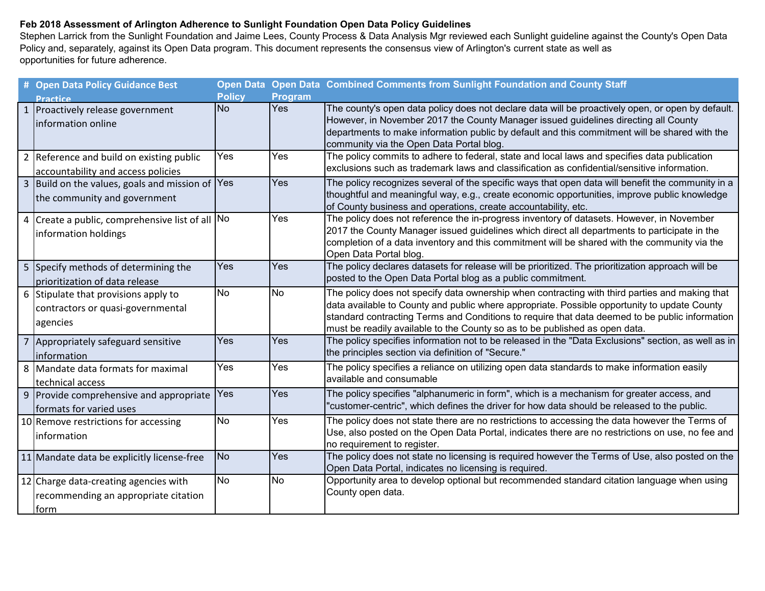## **Feb 2018 Assessment of Arlington Adherence to Sunlight Foundation Open Data Policy Guidelines**

Stephen Larrick from the Sunlight Foundation and Jaime Lees, County Process & Data Analysis Mgr reviewed each Sunlight guideline against the County's Open Data Policy and, separately, against its Open Data program. This document represents the consensus view of Arlington's current state as well as opportunities for future adherence.

| # Open Data Policy Guidance Best                                                      |               |                | Open Data Open Data Combined Comments from Sunlight Foundation and County Staff                                                                                                                                                                                                                                                                                                 |
|---------------------------------------------------------------------------------------|---------------|----------------|---------------------------------------------------------------------------------------------------------------------------------------------------------------------------------------------------------------------------------------------------------------------------------------------------------------------------------------------------------------------------------|
| <b>Practice</b>                                                                       | <b>Policy</b> | <b>Program</b> |                                                                                                                                                                                                                                                                                                                                                                                 |
| 1 Proactively release government<br>information online                                | <b>No</b>     | <b>Yes</b>     | The county's open data policy does not declare data will be proactively open, or open by default.<br>However, in November 2017 the County Manager issued guidelines directing all County<br>departments to make information public by default and this commitment will be shared with the<br>community via the Open Data Portal blog.                                           |
| 2 Reference and build on existing public<br>accountability and access policies        | Yes           | Yes            | The policy commits to adhere to federal, state and local laws and specifies data publication<br>exclusions such as trademark laws and classification as confidential/sensitive information.                                                                                                                                                                                     |
| 3 Build on the values, goals and mission of Yes<br>the community and government       |               | Yes            | The policy recognizes several of the specific ways that open data will benefit the community in a<br>thoughtful and meaningful way, e.g., create economic opportunities, improve public knowledge<br>of County business and operations, create accountability, etc.                                                                                                             |
| 4 Create a public, comprehensive list of all No<br>information holdings               |               | Yes            | The policy does not reference the in-progress inventory of datasets. However, in November<br>2017 the County Manager issued guidelines which direct all departments to participate in the<br>completion of a data inventory and this commitment will be shared with the community via the<br>Open Data Portal blog.                                                             |
| 5 Specify methods of determining the<br>prioritization of data release                | Yes           | Yes            | The policy declares datasets for release will be prioritized. The prioritization approach will be<br>posted to the Open Data Portal blog as a public commitment.                                                                                                                                                                                                                |
| 6 Stipulate that provisions apply to<br>contractors or quasi-governmental<br>agencies | No            | <b>No</b>      | The policy does not specify data ownership when contracting with third parties and making that<br>data available to County and public where appropriate. Possible opportunity to update County<br>standard contracting Terms and Conditions to require that data deemed to be public information<br>must be readily available to the County so as to be published as open data. |
| 7 Appropriately safeguard sensitive<br>information                                    | Yes           | Yes            | The policy specifies information not to be released in the "Data Exclusions" section, as well as in<br>the principles section via definition of "Secure."                                                                                                                                                                                                                       |
| 8 Mandate data formats for maximal<br>technical access                                | Yes           | Yes            | The policy specifies a reliance on utilizing open data standards to make information easily<br>available and consumable                                                                                                                                                                                                                                                         |
| 9 Provide comprehensive and appropriate<br>formats for varied uses                    | Yes           | Yes            | The policy specifies "alphanumeric in form", which is a mechanism for greater access, and<br>"customer-centric", which defines the driver for how data should be released to the public.                                                                                                                                                                                        |
| 10 Remove restrictions for accessing<br>information                                   | <b>No</b>     | Yes            | The policy does not state there are no restrictions to accessing the data however the Terms of<br>Use, also posted on the Open Data Portal, indicates there are no restrictions on use, no fee and<br>no requirement to register.                                                                                                                                               |
| 11 Mandate data be explicitly license-free                                            | <b>No</b>     | Yes            | The policy does not state no licensing is required however the Terms of Use, also posted on the<br>Open Data Portal, indicates no licensing is required.                                                                                                                                                                                                                        |
| 12 Charge data-creating agencies with<br>recommending an appropriate citation<br>form | No            | <b>No</b>      | Opportunity area to develop optional but recommended standard citation language when using<br>County open data.                                                                                                                                                                                                                                                                 |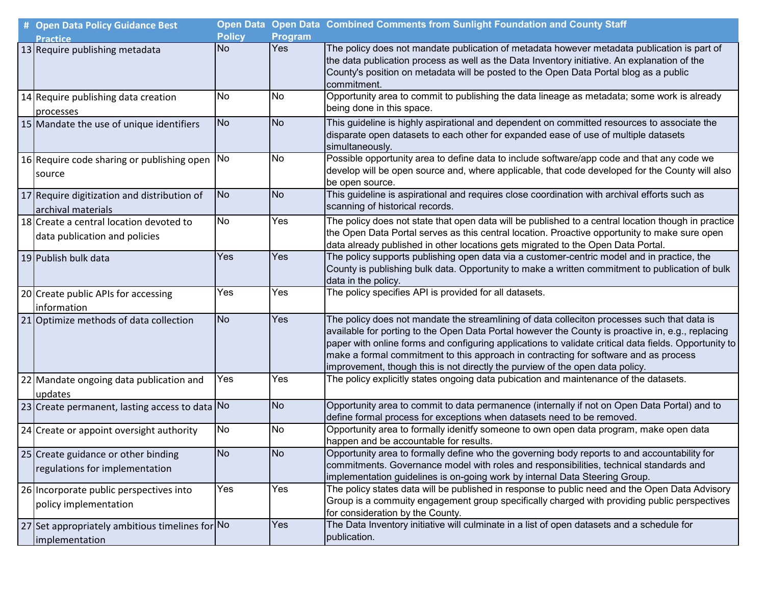| # Open Data Policy Guidance Best                                         |               |                | Open Data Open Data Combined Comments from Sunlight Foundation and County Staff                                                                                                                                                                                                                                                                                                                                                                                                    |
|--------------------------------------------------------------------------|---------------|----------------|------------------------------------------------------------------------------------------------------------------------------------------------------------------------------------------------------------------------------------------------------------------------------------------------------------------------------------------------------------------------------------------------------------------------------------------------------------------------------------|
| <b>Practice</b>                                                          | <b>Policy</b> | <b>Program</b> |                                                                                                                                                                                                                                                                                                                                                                                                                                                                                    |
| 13 Require publishing metadata                                           | <b>No</b>     | Yes            | The policy does not mandate publication of metadata however metadata publication is part of<br>the data publication process as well as the Data Inventory initiative. An explanation of the<br>County's position on metadata will be posted to the Open Data Portal blog as a public<br>commitment.                                                                                                                                                                                |
| 14 Require publishing data creation<br>processes                         | No            | No             | Opportunity area to commit to publishing the data lineage as metadata; some work is already<br>being done in this space.                                                                                                                                                                                                                                                                                                                                                           |
| 15 Mandate the use of unique identifiers                                 | <b>No</b>     | N <sub>o</sub> | This guideline is highly aspirational and dependent on committed resources to associate the<br>disparate open datasets to each other for expanded ease of use of multiple datasets<br>simultaneously.                                                                                                                                                                                                                                                                              |
| 16 Require code sharing or publishing open<br>source                     | No            | No             | Possible opportunity area to define data to include software/app code and that any code we<br>develop will be open source and, where applicable, that code developed for the County will also<br>be open source.                                                                                                                                                                                                                                                                   |
| 17 Require digitization and distribution of<br>archival materials        | <b>No</b>     | <b>No</b>      | This guideline is aspirational and requires close coordination with archival efforts such as<br>scanning of historical records.                                                                                                                                                                                                                                                                                                                                                    |
| 18 Create a central location devoted to<br>data publication and policies | <b>No</b>     | Yes            | The policy does not state that open data will be published to a central location though in practice<br>the Open Data Portal serves as this central location. Proactive opportunity to make sure open<br>data already published in other locations gets migrated to the Open Data Portal.                                                                                                                                                                                           |
| 19 Publish bulk data                                                     | Yes           | Yes            | The policy supports publishing open data via a customer-centric model and in practice, the<br>County is publishing bulk data. Opportunity to make a written commitment to publication of bulk<br>data in the policy.                                                                                                                                                                                                                                                               |
| 20 Create public APIs for accessing<br>information                       | Yes           | Yes            | The policy specifies API is provided for all datasets.                                                                                                                                                                                                                                                                                                                                                                                                                             |
| 21 Optimize methods of data collection                                   | <b>No</b>     | Yes            | The policy does not mandate the streamlining of data colleciton processes such that data is<br>available for porting to the Open Data Portal however the County is proactive in, e.g., replacing<br>paper with online forms and configuring applications to validate critical data fields. Opportunity to<br>make a formal commitment to this approach in contracting for software and as process<br>improvement, though this is not directly the purview of the open data policy. |
| 22 Mandate ongoing data publication and<br>updates                       | Yes           | Yes            | The policy explicitly states ongoing data pubication and maintenance of the datasets.                                                                                                                                                                                                                                                                                                                                                                                              |
| 23 Create permanent, lasting access to data No                           |               | No             | Opportunity area to commit to data permanence (internally if not on Open Data Portal) and to<br>define formal process for exceptions when datasets need to be removed.                                                                                                                                                                                                                                                                                                             |
| 24 Create or appoint oversight authority                                 | No            | No             | Opportunity area to formally idenitfy someone to own open data program, make open data<br>happen and be accountable for results.                                                                                                                                                                                                                                                                                                                                                   |
| 25 Create guidance or other binding<br>regulations for implementation    | No            | <b>No</b>      | Opportunity area to formally define who the governing body reports to and accountability for<br>commitments. Governance model with roles and responsibilities, technical standards and<br>implementation guidelines is on-going work by internal Data Steering Group.                                                                                                                                                                                                              |
| 26 Incorporate public perspectives into<br>policy implementation         | Yes           | Yes            | The policy states data will be published in response to public need and the Open Data Advisory<br>Group is a commuity engagement group specifically charged with providing public perspectives<br>for consideration by the County.                                                                                                                                                                                                                                                 |
| 27 Set appropriately ambitious timelines for No<br>implementation        |               | Yes            | The Data Inventory initiative will culminate in a list of open datasets and a schedule for<br>publication.                                                                                                                                                                                                                                                                                                                                                                         |